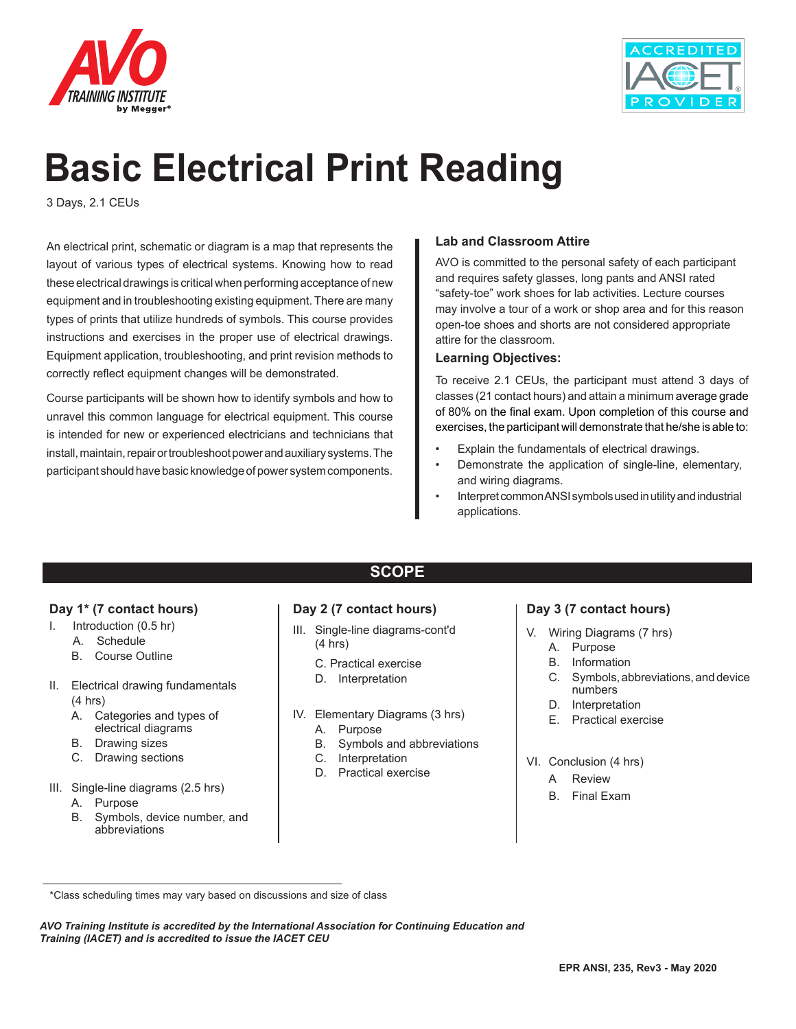



# **Basic Electrical Print Reading**

3 Days, 2.1 CEUs

An electrical print, schematic or diagram is a map that represents the layout of various types of electrical systems. Knowing how to read these electrical drawings is critical when performing acceptance of new equipment and in troubleshooting existing equipment. There are many types of prints that utilize hundreds of symbols. This course provides instructions and exercises in the proper use of electrical drawings. Equipment application, troubleshooting, and print revision methods to correctly reflect equipment changes will be demonstrated.

Course participants will be shown how to identify symbols and how to unravel this common language for electrical equipment. This course is intended for new or experienced electricians and technicians that install, maintain, repair or troubleshoot power and auxiliary systems. The participant should have basic knowledge of power system components.

#### **Lab and Classroom Attire**

AVO is committed to the personal safety of each participant and requires safety glasses, long pants and ANSI rated "safety-toe" work shoes for lab activities. Lecture courses may involve a tour of a work or shop area and for this reason open-toe shoes and shorts are not considered appropriate attire for the classroom.

#### **Learning Objectives:**

To receive 2.1 CEUs, the participant must attend 3 days of classes (21 contact hours) and attain a minimum average grade of 80% on the final exam. Upon completion of this course and exercises, the participant will demonstrate that he/she is able to:

- Explain the fundamentals of electrical drawings.
- Demonstrate the application of single-line, elementary, and wiring diagrams.
- Interpret common ANSI symbols used in utility and industrial applications.

#### **Day 1\* (7 contact hours)**

- I. Introduction (0.5 hr)
	- A. Schedule
	- B. Course Outline
- II. Electrical drawing fundamentals (4 hrs)
	- A. Categories and types of electrical diagrams
	- B. Drawing sizes
	- C. Drawing sections
- III. Single-line diagrams (2.5 hrs)
	- A. Purpose
	- B. Symbols, device number, and abbreviations

## **SCOPE**

#### **Day 2 (7 contact hours)**

- III. Single-line diagrams-cont'd (4 hrs)
	- C. Practical exercise
	- D. Interpretation
- IV. Elementary Diagrams (3 hrs)
	- A. Purpose
	- B. Symbols and abbreviations
	- C. Interpretation
	- D. Practical exercise

#### **Day 3 (7 contact hours)**

- V. Wiring Diagrams (7 hrs)
	- A. Purpose
	- B. Information
	- C. Symbols, abbreviations, and device numbers
	- D. Interpretation
	- E. Practical exercise
- VI. Conclusion (4 hrs)
	- A Review
	- B. Final Exam

*AVO Training Institute is accredited by the International Association for Continuing Education and Training (IACET) and is accredited to issue the IACET CEU*

 <sup>\*</sup>Class scheduling times may vary based on discussions and size of class